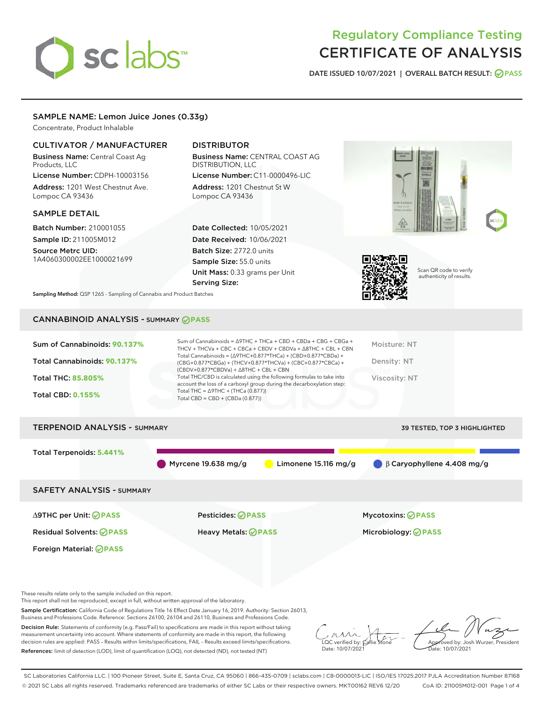# sclabs<sup>\*</sup>

# Regulatory Compliance Testing CERTIFICATE OF ANALYSIS

DATE ISSUED 10/07/2021 | OVERALL BATCH RESULT: @ PASS

# SAMPLE NAME: Lemon Juice Jones (0.33g)

Concentrate, Product Inhalable

# CULTIVATOR / MANUFACTURER

Business Name: Central Coast Ag Products, LLC

License Number: CDPH-10003156 Address: 1201 West Chestnut Ave. Lompoc CA 93436

# SAMPLE DETAIL

Batch Number: 210001055 Sample ID: 211005M012

Source Metrc UID: 1A4060300002EE1000021699

# DISTRIBUTOR

Business Name: CENTRAL COAST AG DISTRIBUTION, LLC License Number: C11-0000496-LIC

Address: 1201 Chestnut St W Lompoc CA 93436

Date Collected: 10/05/2021 Date Received: 10/06/2021 Batch Size: 2772.0 units Sample Size: 55.0 units Unit Mass: 0.33 grams per Unit Serving Size:





Scan QR code to verify authenticity of results.

Sampling Method: QSP 1265 - Sampling of Cannabis and Product Batches

# CANNABINOID ANALYSIS - SUMMARY **PASS**

| Sum of Cannabinoids: 90.137%<br>Total Cannabinoids: 90.137%<br>Total THC: 85.805%<br><b>Total CBD: 0.155%</b> | Sum of Cannabinoids = $\triangle$ 9THC + THCa + CBD + CBDa + CBG + CBGa +<br>THCV + THCVa + CBC + CBCa + CBDV + CBDVa + $\Delta$ 8THC + CBL + CBN<br>Total Cannabinoids = $(\Delta$ 9THC+0.877*THCa) + (CBD+0.877*CBDa) +<br>$(CBG+0.877*CBGa) + (THCV+0.877*THCVa) + (CBC+0.877*CBCa) +$<br>$(CBDV+0.877*CBDVa) + \Delta 8THC + CBL + CBN$<br>Total THC/CBD is calculated using the following formulas to take into<br>account the loss of a carboxyl group during the decarboxylation step:<br>Total THC = $\triangle$ 9THC + (THCa (0.877))<br>Total CBD = $CBD + (CBDa (0.877))$ | Moisture: NT<br>Density: NT<br>Viscosity: NT |
|---------------------------------------------------------------------------------------------------------------|--------------------------------------------------------------------------------------------------------------------------------------------------------------------------------------------------------------------------------------------------------------------------------------------------------------------------------------------------------------------------------------------------------------------------------------------------------------------------------------------------------------------------------------------------------------------------------------|----------------------------------------------|
| <b>TERPENOID ANALYSIS - SUMMARY</b>                                                                           |                                                                                                                                                                                                                                                                                                                                                                                                                                                                                                                                                                                      | <b>39 TESTED, TOP 3 HIGHLIGHTED</b>          |
| Total Terpenoids: 5.441%                                                                                      | Myrcene 19.638 mg/g<br>Limonene $15.116$ mg/g                                                                                                                                                                                                                                                                                                                                                                                                                                                                                                                                        | $\bigcirc$ $\beta$ Caryophyllene 4.408 mg/g  |
| <b>SAFETY ANALYSIS - SUMMARY</b>                                                                              |                                                                                                                                                                                                                                                                                                                                                                                                                                                                                                                                                                                      |                                              |

Foreign Material: **PASS**

∆9THC per Unit: **PASS** Pesticides: **PASS** Mycotoxins: **PASS**

Residual Solvents: **PASS** Heavy Metals: **PASS** Microbiology: **PASS**

These results relate only to the sample included on this report.

This report shall not be reproduced, except in full, without written approval of the laboratory.

Sample Certification: California Code of Regulations Title 16 Effect Date January 16, 2019. Authority: Section 26013, Business and Professions Code. Reference: Sections 26100, 26104 and 26110, Business and Professions Code.

Decision Rule: Statements of conformity (e.g. Pass/Fail) to specifications are made in this report without taking measurement uncertainty into account. Where statements of conformity are made in this report, the following decision rules are applied: PASS – Results within limits/specifications, FAIL – Results exceed limits/specifications. References: limit of detection (LOD), limit of quantification (LOQ), not detected (ND), not tested (NT)

 $\sim$  CC verified by:  $\mathcal{C}_i$ Date: 10/07/2021

Approved by: Josh Wurzer, President ate: 10/07/2021

SC Laboratories California LLC. | 100 Pioneer Street, Suite E, Santa Cruz, CA 95060 | 866-435-0709 | sclabs.com | C8-0000013-LIC | ISO/IES 17025:2017 PJLA Accreditation Number 87168 © 2021 SC Labs all rights reserved. Trademarks referenced are trademarks of either SC Labs or their respective owners. MKT00162 REV6 12/20 CoA ID: 211005M012-001 Page 1 of 4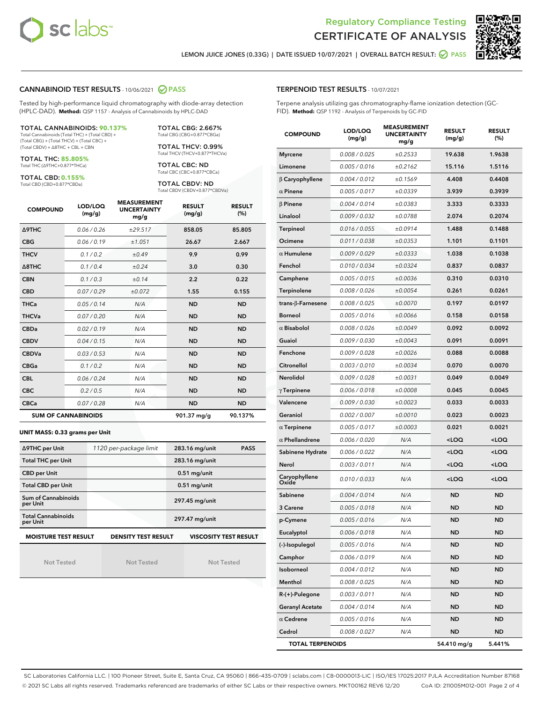



LEMON JUICE JONES (0.33G) | DATE ISSUED 10/07/2021 | OVERALL BATCH RESULT: ● PASS

#### CANNABINOID TEST RESULTS - 10/06/2021 2 PASS

Tested by high-performance liquid chromatography with diode-array detection (HPLC-DAD). **Method:** QSP 1157 - Analysis of Cannabinoids by HPLC-DAD

#### TOTAL CANNABINOIDS: **90.137%**

Total Cannabinoids (Total THC) + (Total CBD) + (Total CBG) + (Total THCV) + (Total CBC) + (Total CBDV) + ∆8THC + CBL + CBN

TOTAL THC: **85.805%** Total THC (∆9THC+0.877\*THCa)

TOTAL CBD: **0.155%**

Total CBD (CBD+0.877\*CBDa)

TOTAL CBG: 2.667% Total CBG (CBG+0.877\*CBGa)

TOTAL THCV: 0.99% Total THCV (THCV+0.877\*THCVa)

TOTAL CBC: ND Total CBC (CBC+0.877\*CBCa)

TOTAL CBDV: ND Total CBDV (CBDV+0.877\*CBDVa)

| <b>COMPOUND</b>  | LOD/LOQ<br>(mg/g)          | <b>MEASUREMENT</b><br><b>UNCERTAINTY</b><br>mg/g | <b>RESULT</b><br>(mg/g) | <b>RESULT</b><br>(%) |
|------------------|----------------------------|--------------------------------------------------|-------------------------|----------------------|
| <b>A9THC</b>     | 0.06/0.26                  | ±29.517                                          | 858.05                  | 85.805               |
| <b>CBG</b>       | 0.06/0.19                  | ±1.051                                           | 26.67                   | 2.667                |
| <b>THCV</b>      | 0.1/0.2                    | ±0.49                                            | 9.9                     | 0.99                 |
| $\triangle$ 8THC | 0.1/0.4                    | ±0.24                                            | 3.0                     | 0.30                 |
| <b>CBN</b>       | 0.1/0.3                    | ±0.14                                            | 2.2                     | 0.22                 |
| <b>CBD</b>       | 0.07/0.29                  | ±0.072                                           | 1.55                    | 0.155                |
| <b>THCa</b>      | 0.05/0.14                  | N/A                                              | <b>ND</b>               | <b>ND</b>            |
| <b>THCVa</b>     | 0.07/0.20                  | N/A                                              | <b>ND</b>               | <b>ND</b>            |
| <b>CBDa</b>      | 0.02/0.19                  | N/A                                              | <b>ND</b>               | <b>ND</b>            |
| <b>CBDV</b>      | 0.04/0.15                  | N/A                                              | <b>ND</b>               | <b>ND</b>            |
| <b>CBDVa</b>     | 0.03/0.53                  | N/A                                              | <b>ND</b>               | <b>ND</b>            |
| <b>CBGa</b>      | 0.1/0.2                    | N/A                                              | <b>ND</b>               | <b>ND</b>            |
| <b>CBL</b>       | 0.06 / 0.24                | N/A                                              | <b>ND</b>               | <b>ND</b>            |
| <b>CBC</b>       | 0.2 / 0.5                  | N/A                                              | <b>ND</b>               | <b>ND</b>            |
| <b>CBCa</b>      | 0.07/0.28                  | N/A                                              | <b>ND</b>               | <b>ND</b>            |
|                  | <b>SUM OF CANNABINOIDS</b> |                                                  | 901.37 mg/g             | 90.137%              |

#### **UNIT MASS: 0.33 grams per Unit**

| ∆9THC per Unit                                                                            | 1120 per-package limit | 283.16 mg/unit<br><b>PASS</b> |  |  |  |
|-------------------------------------------------------------------------------------------|------------------------|-------------------------------|--|--|--|
| <b>Total THC per Unit</b>                                                                 |                        | 283.16 mg/unit                |  |  |  |
| <b>CBD per Unit</b>                                                                       |                        | $0.51$ mg/unit                |  |  |  |
| <b>Total CBD per Unit</b>                                                                 |                        | $0.51$ mg/unit                |  |  |  |
| Sum of Cannabinoids<br>per Unit                                                           |                        | 297.45 mg/unit                |  |  |  |
| <b>Total Cannabinoids</b><br>per Unit                                                     |                        | 297.47 mg/unit                |  |  |  |
| <b>MOISTURE TEST RESULT</b><br><b>DENSITY TEST RESULT</b><br><b>VISCOSITY TEST RESULT</b> |                        |                               |  |  |  |

Not Tested

Not Tested

Not Tested

#### TERPENOID TEST RESULTS - 10/07/2021

Terpene analysis utilizing gas chromatography-flame ionization detection (GC-FID). **Method:** QSP 1192 - Analysis of Terpenoids by GC-FID

| <b>COMPOUND</b>          | LOD/LOQ<br>(mg/g) | <b>MEASUREMENT</b><br><b>UNCERTAINTY</b><br>mg/g | <b>RESULT</b><br>(mg/g)                         | <b>RESULT</b><br>(%) |
|--------------------------|-------------------|--------------------------------------------------|-------------------------------------------------|----------------------|
| <b>Myrcene</b>           | 0.008 / 0.025     | ±0.2533                                          | 19.638                                          | 1.9638               |
| Limonene                 | 0.005 / 0.016     | ±0.2162                                          | 15.116                                          | 1.5116               |
| $\beta$ Caryophyllene    | 0.004 / 0.012     | ±0.1569                                          | 4.408                                           | 0.4408               |
| $\alpha$ Pinene          | 0.005 / 0.017     | ±0.0339                                          | 3.939                                           | 0.3939               |
| $\beta$ Pinene           | 0.004 / 0.014     | ±0.0383                                          | 3.333                                           | 0.3333               |
| Linalool                 | 0.009/0.032       | ±0.0788                                          | 2.074                                           | 0.2074               |
| Terpineol                | 0.016 / 0.055     | ±0.0914                                          | 1.488                                           | 0.1488               |
| Ocimene                  | 0.011 / 0.038     | ±0.0353                                          | 1.101                                           | 0.1101               |
| $\alpha$ Humulene        | 0.009/0.029       | ±0.0333                                          | 1.038                                           | 0.1038               |
| Fenchol                  | 0.010 / 0.034     | ±0.0324                                          | 0.837                                           | 0.0837               |
| Camphene                 | 0.005 / 0.015     | ±0.0036                                          | 0.310                                           | 0.0310               |
| Terpinolene              | 0.008 / 0.026     | ±0.0054                                          | 0.261                                           | 0.0261               |
| $trans-\beta$ -Farnesene | 0.008 / 0.025     | ±0.0070                                          | 0.197                                           | 0.0197               |
| Borneol                  | 0.005 / 0.016     | ±0.0066                                          | 0.158                                           | 0.0158               |
| $\alpha$ Bisabolol       | 0.008 / 0.026     | ±0.0049                                          | 0.092                                           | 0.0092               |
| Guaiol                   | 0.009 / 0.030     | ±0.0043                                          | 0.091                                           | 0.0091               |
| Fenchone                 | 0.009 / 0.028     | ±0.0026                                          | 0.088                                           | 0.0088               |
| Citronellol              | 0.003 / 0.010     | ±0.0034                                          | 0.070                                           | 0.0070               |
| Nerolidol                | 0.009 / 0.028     | ±0.0031                                          | 0.049                                           | 0.0049               |
| $\gamma$ Terpinene       | 0.006 / 0.018     | ±0.0008                                          | 0.045                                           | 0.0045               |
| Valencene                | 0.009 / 0.030     | ±0.0023                                          | 0.033                                           | 0.0033               |
| Geraniol                 | 0.002 / 0.007     | ±0.0010                                          | 0.023                                           | 0.0023               |
| $\alpha$ Terpinene       | 0.005 / 0.017     | ±0.0003                                          | 0.021                                           | 0.0021               |
| $\alpha$ Phellandrene    | 0.006 / 0.020     | N/A                                              | <loq< th=""><th><loq< th=""></loq<></th></loq<> | <loq< th=""></loq<>  |
| Sabinene Hydrate         | 0.006 / 0.022     | N/A                                              | <loq< th=""><th><loq< th=""></loq<></th></loq<> | <loq< th=""></loq<>  |
| Nerol                    | 0.003 / 0.011     | N/A                                              | <loq< th=""><th><loq< th=""></loq<></th></loq<> | <loq< th=""></loq<>  |
| Caryophyllene<br>Oxide   | 0.010 / 0.033     | N/A                                              | <loq< th=""><th><loq< th=""></loq<></th></loq<> | <loq< th=""></loq<>  |
| Sabinene                 | 0.004 / 0.014     | N/A                                              | <b>ND</b>                                       | <b>ND</b>            |
| 3 Carene                 | 0.005 / 0.018     | N/A                                              | ND                                              | <b>ND</b>            |
| p-Cymene                 | 0.005 / 0.016     | N/A                                              | <b>ND</b>                                       | <b>ND</b>            |
| Eucalyptol               | 0.006 / 0.018     | N/A                                              | ND                                              | ND                   |
| (-)-Isopulegol           | 0.005 / 0.016     | N/A                                              | ND                                              | ND                   |
| Camphor                  | 0.006 / 0.019     | N/A                                              | <b>ND</b>                                       | ND                   |
| Isoborneol               | 0.004 / 0.012     | N/A                                              | <b>ND</b>                                       | <b>ND</b>            |
| Menthol                  | 0.008 / 0.025     | N/A                                              | ND                                              | ND                   |
| R-(+)-Pulegone           | 0.003 / 0.011     | N/A                                              | <b>ND</b>                                       | ND                   |
| <b>Geranyl Acetate</b>   | 0.004 / 0.014     | N/A                                              | <b>ND</b>                                       | <b>ND</b>            |
| $\alpha$ Cedrene         | 0.005 / 0.016     | N/A                                              | ND                                              | ND                   |
| Cedrol                   | 0.008 / 0.027     | N/A                                              | <b>ND</b>                                       | ND                   |
| <b>TOTAL TERPENOIDS</b>  |                   | 54.410 mg/g                                      | 5.441%                                          |                      |

SC Laboratories California LLC. | 100 Pioneer Street, Suite E, Santa Cruz, CA 95060 | 866-435-0709 | sclabs.com | C8-0000013-LIC | ISO/IES 17025:2017 PJLA Accreditation Number 87168 © 2021 SC Labs all rights reserved. Trademarks referenced are trademarks of either SC Labs or their respective owners. MKT00162 REV6 12/20 CoA ID: 211005M012-001 Page 2 of 4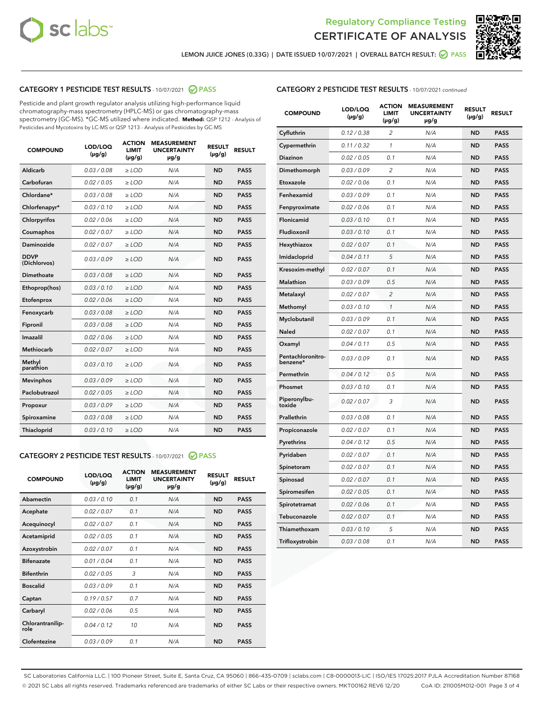



LEMON JUICE JONES (0.33G) | DATE ISSUED 10/07/2021 | OVERALL BATCH RESULT: <mark>⊘</mark> PASS

# CATEGORY 1 PESTICIDE TEST RESULTS - 10/07/2021 2 PASS

Pesticide and plant growth regulator analysis utilizing high-performance liquid chromatography-mass spectrometry (HPLC-MS) or gas chromatography-mass spectrometry (GC-MS). \*GC-MS utilized where indicated. **Method:** QSP 1212 - Analysis of Pesticides and Mycotoxins by LC-MS or QSP 1213 - Analysis of Pesticides by GC-MS

| <b>COMPOUND</b>             | LOD/LOQ<br>$(\mu g/g)$ | <b>ACTION</b><br><b>LIMIT</b><br>$(\mu q/q)$ | <b>MEASUREMENT</b><br><b>UNCERTAINTY</b><br>$\mu$ g/g | <b>RESULT</b><br>$(\mu g/g)$ | <b>RESULT</b> |
|-----------------------------|------------------------|----------------------------------------------|-------------------------------------------------------|------------------------------|---------------|
| Aldicarb                    | 0.03 / 0.08            | $\ge$ LOD                                    | N/A                                                   | <b>ND</b>                    | <b>PASS</b>   |
| Carbofuran                  | 0.02 / 0.05            | $\ge$ LOD                                    | N/A                                                   | <b>ND</b>                    | <b>PASS</b>   |
| Chlordane*                  | 0.03 / 0.08            | $\ge$ LOD                                    | N/A                                                   | <b>ND</b>                    | <b>PASS</b>   |
| Chlorfenapyr*               | 0.03/0.10              | $\ge$ LOD                                    | N/A                                                   | <b>ND</b>                    | <b>PASS</b>   |
| Chlorpyrifos                | 0.02 / 0.06            | $\ge$ LOD                                    | N/A                                                   | <b>ND</b>                    | <b>PASS</b>   |
| Coumaphos                   | 0.02 / 0.07            | $\ge$ LOD                                    | N/A                                                   | <b>ND</b>                    | <b>PASS</b>   |
| Daminozide                  | 0.02 / 0.07            | $\ge$ LOD                                    | N/A                                                   | <b>ND</b>                    | <b>PASS</b>   |
| <b>DDVP</b><br>(Dichlorvos) | 0.03/0.09              | $>$ LOD                                      | N/A                                                   | <b>ND</b>                    | <b>PASS</b>   |
| Dimethoate                  | 0.03 / 0.08            | $\ge$ LOD                                    | N/A                                                   | <b>ND</b>                    | <b>PASS</b>   |
| Ethoprop(hos)               | 0.03/0.10              | $\ge$ LOD                                    | N/A                                                   | <b>ND</b>                    | <b>PASS</b>   |
| Etofenprox                  | 0.02/0.06              | $>$ LOD                                      | N/A                                                   | <b>ND</b>                    | <b>PASS</b>   |
| Fenoxycarb                  | 0.03 / 0.08            | $\ge$ LOD                                    | N/A                                                   | <b>ND</b>                    | <b>PASS</b>   |
| Fipronil                    | 0.03/0.08              | $>$ LOD                                      | N/A                                                   | <b>ND</b>                    | <b>PASS</b>   |
| Imazalil                    | 0.02 / 0.06            | $\ge$ LOD                                    | N/A                                                   | <b>ND</b>                    | <b>PASS</b>   |
| Methiocarb                  | 0.02 / 0.07            | $\ge$ LOD                                    | N/A                                                   | <b>ND</b>                    | <b>PASS</b>   |
| Methyl<br>parathion         | 0.03/0.10              | $>$ LOD                                      | N/A                                                   | <b>ND</b>                    | <b>PASS</b>   |
| <b>Mevinphos</b>            | 0.03/0.09              | $>$ LOD                                      | N/A                                                   | <b>ND</b>                    | <b>PASS</b>   |
| Paclobutrazol               | 0.02 / 0.05            | $\ge$ LOD                                    | N/A                                                   | <b>ND</b>                    | <b>PASS</b>   |
| Propoxur                    | 0.03 / 0.09            | $\ge$ LOD                                    | N/A                                                   | <b>ND</b>                    | <b>PASS</b>   |
| Spiroxamine                 | 0.03 / 0.08            | $\ge$ LOD                                    | N/A                                                   | <b>ND</b>                    | <b>PASS</b>   |
| Thiacloprid                 | 0.03/0.10              | $\ge$ LOD                                    | N/A                                                   | <b>ND</b>                    | <b>PASS</b>   |

#### CATEGORY 2 PESTICIDE TEST RESULTS - 10/07/2021 @ PASS

| <b>COMPOUND</b>          | LOD/LOO<br>$(\mu g/g)$ | <b>ACTION</b><br>LIMIT<br>$(\mu g/g)$ | <b>MEASUREMENT</b><br><b>UNCERTAINTY</b><br>µg/g | <b>RESULT</b><br>$(\mu g/g)$ | <b>RESULT</b> |  |
|--------------------------|------------------------|---------------------------------------|--------------------------------------------------|------------------------------|---------------|--|
| Abamectin                | 0.03/0.10              | 0.1                                   | N/A                                              | <b>ND</b>                    | <b>PASS</b>   |  |
| Acephate                 | 0.02/0.07              | 0.1                                   | N/A                                              | <b>ND</b>                    | <b>PASS</b>   |  |
| Acequinocyl              | 0.02/0.07              | 0.1                                   | N/A                                              | <b>ND</b>                    | <b>PASS</b>   |  |
| Acetamiprid              | 0.02 / 0.05            | 0.1                                   | N/A                                              | <b>ND</b>                    | <b>PASS</b>   |  |
| Azoxystrobin             | 0.02/0.07              | 0.1                                   | N/A                                              | <b>ND</b>                    | <b>PASS</b>   |  |
| <b>Bifenazate</b>        | 0.01 / 0.04            | 0.1                                   | N/A                                              | <b>ND</b>                    | <b>PASS</b>   |  |
| <b>Bifenthrin</b>        | 0.02 / 0.05            | 3                                     | N/A                                              | <b>ND</b>                    | <b>PASS</b>   |  |
| <b>Boscalid</b>          | 0.03/0.09              | 0.1                                   | N/A                                              | <b>ND</b>                    | <b>PASS</b>   |  |
| Captan                   | 0.19/0.57              | 0.7                                   | N/A                                              | <b>ND</b>                    | <b>PASS</b>   |  |
| Carbaryl                 | 0.02/0.06              | 0.5                                   | N/A                                              | <b>ND</b>                    | <b>PASS</b>   |  |
| Chlorantranilip-<br>role | 0.04/0.12              | 10                                    | N/A                                              | <b>ND</b>                    | <b>PASS</b>   |  |
| Clofentezine             | 0.03/0.09              | 0.1                                   | N/A                                              | <b>ND</b>                    | <b>PASS</b>   |  |

| <b>CATEGORY 2 PESTICIDE TEST RESULTS</b> - 10/07/2021 continued |  |  |
|-----------------------------------------------------------------|--|--|
|                                                                 |  |  |

| <b>COMPOUND</b>               | LOD/LOQ<br>(µg/g) | <b>ACTION</b><br>LIMIT<br>$(\mu g/g)$ | <b>MEASUREMENT</b><br><b>UNCERTAINTY</b><br>µg/g | <b>RESULT</b><br>(µg/g) | <b>RESULT</b> |
|-------------------------------|-------------------|---------------------------------------|--------------------------------------------------|-------------------------|---------------|
| Cyfluthrin                    | 0.12 / 0.38       | $\overline{c}$                        | N/A                                              | <b>ND</b>               | <b>PASS</b>   |
| Cypermethrin                  | 0.11 / 0.32       | $\mathcal{I}$                         | N/A                                              | <b>ND</b>               | <b>PASS</b>   |
| Diazinon                      | 0.02 / 0.05       | 0.1                                   | N/A                                              | <b>ND</b>               | <b>PASS</b>   |
| Dimethomorph                  | 0.03 / 0.09       | $\overline{c}$                        | N/A                                              | <b>ND</b>               | <b>PASS</b>   |
| Etoxazole                     | 0.02 / 0.06       | 0.1                                   | N/A                                              | <b>ND</b>               | <b>PASS</b>   |
| Fenhexamid                    | 0.03 / 0.09       | 0.1                                   | N/A                                              | <b>ND</b>               | <b>PASS</b>   |
| Fenpyroximate                 | 0.02 / 0.06       | 0.1                                   | N/A                                              | <b>ND</b>               | <b>PASS</b>   |
| Flonicamid                    | 0.03/0.10         | 0.1                                   | N/A                                              | <b>ND</b>               | <b>PASS</b>   |
| Fludioxonil                   | 0.03 / 0.10       | 0.1                                   | N/A                                              | <b>ND</b>               | <b>PASS</b>   |
| Hexythiazox                   | 0.02 / 0.07       | 0.1                                   | N/A                                              | <b>ND</b>               | <b>PASS</b>   |
| Imidacloprid                  | 0.04 / 0.11       | 5                                     | N/A                                              | <b>ND</b>               | <b>PASS</b>   |
| Kresoxim-methyl               | 0.02 / 0.07       | 0.1                                   | N/A                                              | <b>ND</b>               | <b>PASS</b>   |
| Malathion                     | 0.03 / 0.09       | 0.5                                   | N/A                                              | <b>ND</b>               | <b>PASS</b>   |
| Metalaxyl                     | 0.02 / 0.07       | $\overline{2}$                        | N/A                                              | <b>ND</b>               | <b>PASS</b>   |
| Methomyl                      | 0.03 / 0.10       | 1                                     | N/A                                              | <b>ND</b>               | <b>PASS</b>   |
| Myclobutanil                  | 0.03 / 0.09       | 0.1                                   | N/A                                              | <b>ND</b>               | <b>PASS</b>   |
| <b>Naled</b>                  | 0.02 / 0.07       | 0.1                                   | N/A                                              | <b>ND</b>               | <b>PASS</b>   |
| Oxamyl                        | 0.04 / 0.11       | 0.5                                   | N/A                                              | <b>ND</b>               | <b>PASS</b>   |
| Pentachloronitro-<br>benzene* | 0.03 / 0.09       | 0.1                                   | N/A                                              | <b>ND</b>               | <b>PASS</b>   |
| Permethrin                    | 0.04/0.12         | 0.5                                   | N/A                                              | <b>ND</b>               | <b>PASS</b>   |
| Phosmet                       | 0.03 / 0.10       | 0.1                                   | N/A                                              | <b>ND</b>               | <b>PASS</b>   |
| Piperonylbu-<br>toxide        | 0.02 / 0.07       | 3                                     | N/A                                              | <b>ND</b>               | <b>PASS</b>   |
| Prallethrin                   | 0.03 / 0.08       | 0.1                                   | N/A                                              | <b>ND</b>               | <b>PASS</b>   |
| Propiconazole                 | 0.02 / 0.07       | 0.1                                   | N/A                                              | <b>ND</b>               | <b>PASS</b>   |
| Pyrethrins                    | 0.04 / 0.12       | 0.5                                   | N/A                                              | <b>ND</b>               | <b>PASS</b>   |
| Pyridaben                     | 0.02 / 0.07       | 0.1                                   | N/A                                              | <b>ND</b>               | <b>PASS</b>   |
| Spinetoram                    | 0.02 / 0.07       | 0.1                                   | N/A                                              | ND                      | <b>PASS</b>   |
| Spinosad                      | 0.02 / 0.07       | 0.1                                   | N/A                                              | <b>ND</b>               | <b>PASS</b>   |
| Spiromesifen                  | 0.02 / 0.05       | 0.1                                   | N/A                                              | <b>ND</b>               | <b>PASS</b>   |
| Spirotetramat                 | 0.02 / 0.06       | 0.1                                   | N/A                                              | <b>ND</b>               | <b>PASS</b>   |
| Tebuconazole                  | 0.02 / 0.07       | 0.1                                   | N/A                                              | <b>ND</b>               | <b>PASS</b>   |
| Thiamethoxam                  | 0.03 / 0.10       | 5                                     | N/A                                              | <b>ND</b>               | <b>PASS</b>   |
| Trifloxystrobin               | 0.03 / 0.08       | 0.1                                   | N/A                                              | <b>ND</b>               | <b>PASS</b>   |

SC Laboratories California LLC. | 100 Pioneer Street, Suite E, Santa Cruz, CA 95060 | 866-435-0709 | sclabs.com | C8-0000013-LIC | ISO/IES 17025:2017 PJLA Accreditation Number 87168 © 2021 SC Labs all rights reserved. Trademarks referenced are trademarks of either SC Labs or their respective owners. MKT00162 REV6 12/20 CoA ID: 211005M012-001 Page 3 of 4